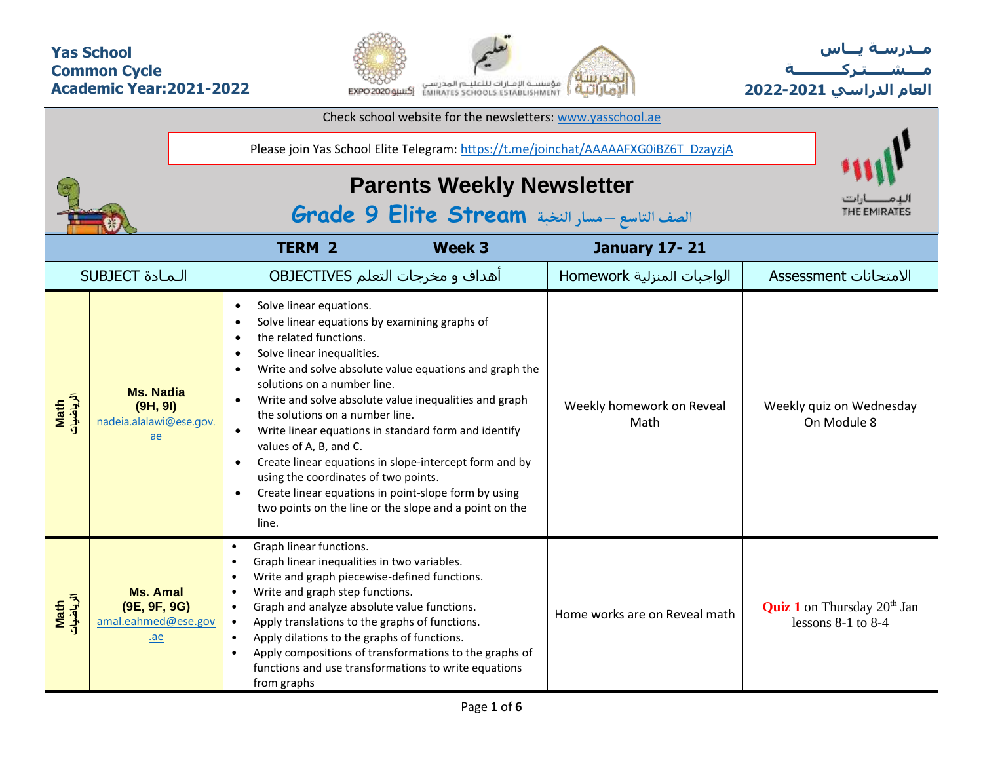### **Yas School Common Cycle Academic Year:2021-2022**



**مــدرسـة يـــاس مــــشـ ـــ ـتـ ركـ ــــــــــ ة العام الدراسي -2021 2022**

| Check school website for the newsletters: www.yasschool.ae                          |                                                                             |                                                                                                                                                                                                                                                                                                                                                                                                                                                                                                                                                                                                                                                                                                                                 |                                   |                                                                          |
|-------------------------------------------------------------------------------------|-----------------------------------------------------------------------------|---------------------------------------------------------------------------------------------------------------------------------------------------------------------------------------------------------------------------------------------------------------------------------------------------------------------------------------------------------------------------------------------------------------------------------------------------------------------------------------------------------------------------------------------------------------------------------------------------------------------------------------------------------------------------------------------------------------------------------|-----------------------------------|--------------------------------------------------------------------------|
| Please join Yas School Elite Telegram: https://t.me/joinchat/AAAAAFXG0iBZ6T_DzayzjA |                                                                             |                                                                                                                                                                                                                                                                                                                                                                                                                                                                                                                                                                                                                                                                                                                                 |                                   |                                                                          |
|                                                                                     |                                                                             | <b>Parents Weekly Newsletter</b><br>الصف التاسع - مسار النخبة Grade 9 Elite Stream                                                                                                                                                                                                                                                                                                                                                                                                                                                                                                                                                                                                                                              | THE EMIRATES                      |                                                                          |
|                                                                                     |                                                                             | <b>Week 3</b><br><b>TERM 2</b>                                                                                                                                                                                                                                                                                                                                                                                                                                                                                                                                                                                                                                                                                                  | <b>January 17-21</b>              |                                                                          |
|                                                                                     | <b>SUBJECT</b> الـمـادة                                                     | أهداف و مخرجات التعلم OBJECTIVES                                                                                                                                                                                                                                                                                                                                                                                                                                                                                                                                                                                                                                                                                                | الواجبات المنزلية Homework        | الامتحانات Assessment                                                    |
| Math<br>الرياضيات                                                                   | <b>Ms. Nadia</b><br>(9H, 9I)<br>nadeia.alalawi@ese.gov.<br>$\underline{ae}$ | Solve linear equations.<br>$\bullet$<br>Solve linear equations by examining graphs of<br>the related functions.<br>Solve linear inequalities.<br>$\bullet$<br>Write and solve absolute value equations and graph the<br>$\bullet$<br>solutions on a number line.<br>Write and solve absolute value inequalities and graph<br>$\bullet$<br>the solutions on a number line.<br>Write linear equations in standard form and identify<br>$\bullet$<br>values of A, B, and C.<br>Create linear equations in slope-intercept form and by<br>$\bullet$<br>using the coordinates of two points.<br>Create linear equations in point-slope form by using<br>$\bullet$<br>two points on the line or the slope and a point on the<br>line. | Weekly homework on Reveal<br>Math | Weekly quiz on Wednesday<br>On Module 8                                  |
| Math<br>الرياضيات                                                                   | <b>Ms. Amal</b><br>(9E, 9F, 9G)<br>amal.eahmed@ese.gov<br>.ae               | Graph linear functions.<br>$\bullet$<br>Graph linear inequalities in two variables.<br>$\bullet$<br>Write and graph piecewise-defined functions.<br>Write and graph step functions.<br>$\bullet$<br>Graph and analyze absolute value functions.<br>$\bullet$<br>Apply translations to the graphs of functions.<br>$\bullet$<br>Apply dilations to the graphs of functions.<br>$\bullet$<br>Apply compositions of transformations to the graphs of<br>$\bullet$<br>functions and use transformations to write equations<br>from graphs                                                                                                                                                                                           | Home works are on Reveal math     | <b>Quiz 1</b> on Thursday 20 <sup>th</sup> Jan<br>lessons $8-1$ to $8-4$ |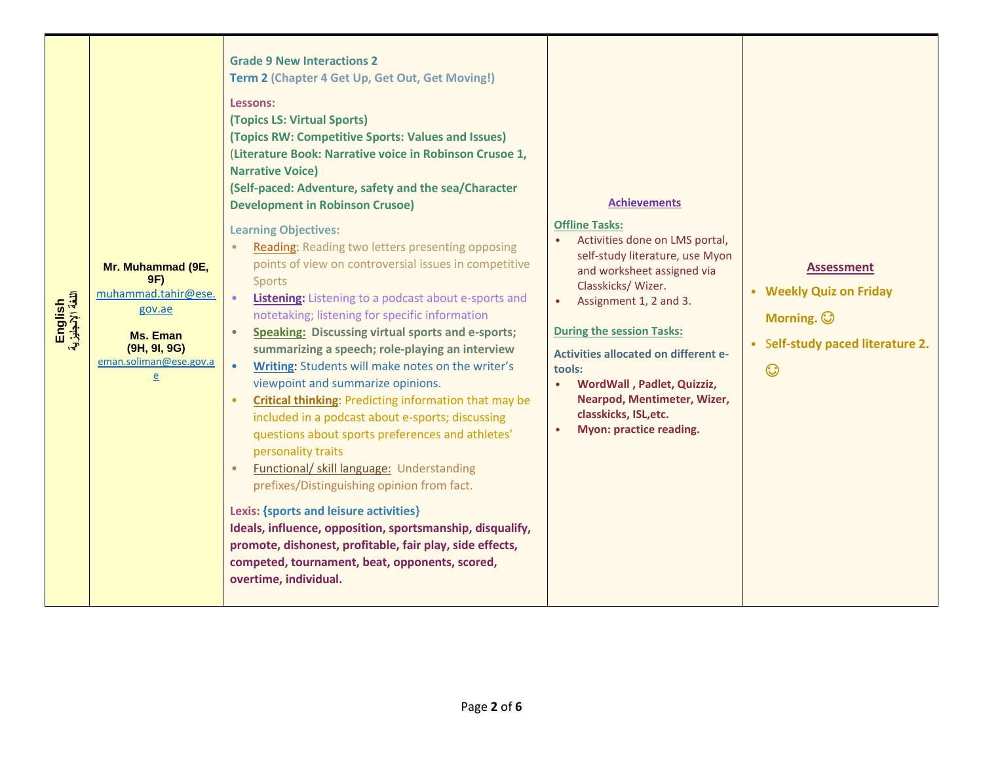| English<br>اللغة الإنجليزية | Mr. Muhammad (9E,<br>9F)<br>muhammad.tahir@ese.<br>gov.ae<br><b>Ms. Eman</b><br>(9H, 9I, 9G)<br>eman.soliman@ese.gov.a<br>e | <b>Grade 9 New Interactions 2</b><br>Term 2 (Chapter 4 Get Up, Get Out, Get Moving!)<br>Lessons:<br>(Topics LS: Virtual Sports)<br>(Topics RW: Competitive Sports: Values and Issues)<br>(Literature Book: Narrative voice in Robinson Crusoe 1,<br><b>Narrative Voice)</b><br>(Self-paced: Adventure, safety and the sea/Character<br><b>Development in Robinson Crusoe)</b><br><b>Learning Objectives:</b><br>Reading: Reading two letters presenting opposing<br>points of view on controversial issues in competitive<br><b>Sports</b><br>Listening: Listening to a podcast about e-sports and<br>notetaking; listening for specific information<br><b>Speaking: Discussing virtual sports and e-sports;</b><br>summarizing a speech; role-playing an interview<br>Writing: Students will make notes on the writer's<br>viewpoint and summarize opinions.<br><b>Critical thinking: Predicting information that may be</b><br>included in a podcast about e-sports; discussing<br>questions about sports preferences and athletes'<br>personality traits<br><b>Functional/ skill language: Understanding</b><br>prefixes/Distinguishing opinion from fact.<br>Lexis: {sports and leisure activities}<br>Ideals, influence, opposition, sportsmanship, disqualify,<br>promote, dishonest, profitable, fair play, side effects,<br>competed, tournament, beat, opponents, scored,<br>overtime, individual. | <b>Achievements</b><br><b>Offline Tasks:</b><br>Activities done on LMS portal,<br>self-study literature, use Myon<br>and worksheet assigned via<br>Classkicks/Wizer.<br>Assignment 1, 2 and 3.<br>$\bullet$<br><b>During the session Tasks:</b><br><b>Activities allocated on different e-</b><br>tools:<br>WordWall, Padlet, Quizziz,<br>$\bullet$<br>Nearpod, Mentimeter, Wizer,<br>classkicks, ISL, etc.<br><b>Myon: practice reading.</b><br>$\bullet$ | <b>Assessment</b><br>• Weekly Quiz on Friday<br>Morning. $\odot$<br>• Self-study paced literature 2.<br>$\odot$ |
|-----------------------------|-----------------------------------------------------------------------------------------------------------------------------|-------------------------------------------------------------------------------------------------------------------------------------------------------------------------------------------------------------------------------------------------------------------------------------------------------------------------------------------------------------------------------------------------------------------------------------------------------------------------------------------------------------------------------------------------------------------------------------------------------------------------------------------------------------------------------------------------------------------------------------------------------------------------------------------------------------------------------------------------------------------------------------------------------------------------------------------------------------------------------------------------------------------------------------------------------------------------------------------------------------------------------------------------------------------------------------------------------------------------------------------------------------------------------------------------------------------------------------------------------------------------------------------------------------|------------------------------------------------------------------------------------------------------------------------------------------------------------------------------------------------------------------------------------------------------------------------------------------------------------------------------------------------------------------------------------------------------------------------------------------------------------|-----------------------------------------------------------------------------------------------------------------|
|-----------------------------|-----------------------------------------------------------------------------------------------------------------------------|-------------------------------------------------------------------------------------------------------------------------------------------------------------------------------------------------------------------------------------------------------------------------------------------------------------------------------------------------------------------------------------------------------------------------------------------------------------------------------------------------------------------------------------------------------------------------------------------------------------------------------------------------------------------------------------------------------------------------------------------------------------------------------------------------------------------------------------------------------------------------------------------------------------------------------------------------------------------------------------------------------------------------------------------------------------------------------------------------------------------------------------------------------------------------------------------------------------------------------------------------------------------------------------------------------------------------------------------------------------------------------------------------------------|------------------------------------------------------------------------------------------------------------------------------------------------------------------------------------------------------------------------------------------------------------------------------------------------------------------------------------------------------------------------------------------------------------------------------------------------------------|-----------------------------------------------------------------------------------------------------------------|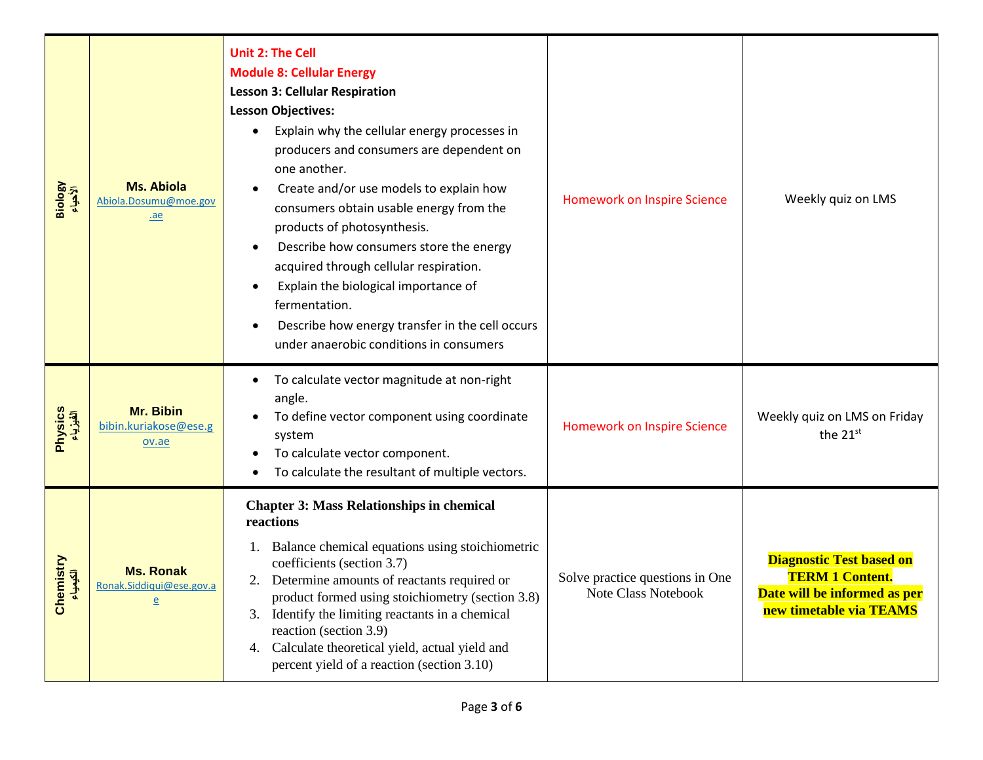| Biology<br>الأحياء    | <b>Ms. Abiola</b><br>Abiola.Dosumu@moe.gov<br>ae               | <b>Unit 2: The Cell</b><br><b>Module 8: Cellular Energy</b><br><b>Lesson 3: Cellular Respiration</b><br><b>Lesson Objectives:</b><br>Explain why the cellular energy processes in<br>producers and consumers are dependent on<br>one another.<br>Create and/or use models to explain how<br>consumers obtain usable energy from the<br>products of photosynthesis.<br>Describe how consumers store the energy<br>$\bullet$<br>acquired through cellular respiration.<br>Explain the biological importance of<br>$\bullet$<br>fermentation.<br>Describe how energy transfer in the cell occurs<br>$\bullet$<br>under anaerobic conditions in consumers | <b>Homework on Inspire Science</b>                            | Weekly quiz on LMS                                                                                                   |
|-----------------------|----------------------------------------------------------------|-------------------------------------------------------------------------------------------------------------------------------------------------------------------------------------------------------------------------------------------------------------------------------------------------------------------------------------------------------------------------------------------------------------------------------------------------------------------------------------------------------------------------------------------------------------------------------------------------------------------------------------------------------|---------------------------------------------------------------|----------------------------------------------------------------------------------------------------------------------|
| Physics<br>الفیزیاء   | Mr. Bibin<br>bibin.kuriakose@ese.g<br>ov.ae                    | To calculate vector magnitude at non-right<br>$\bullet$<br>angle.<br>To define vector component using coordinate<br>system<br>To calculate vector component.<br>To calculate the resultant of multiple vectors.                                                                                                                                                                                                                                                                                                                                                                                                                                       | <b>Homework on Inspire Science</b>                            | Weekly quiz on LMS on Friday<br>the 21st                                                                             |
| Chemistry<br>الكيمياء | <b>Ms. Ronak</b><br>Ronak.Siddiqui@ese.gov.a<br>$\overline{e}$ | <b>Chapter 3: Mass Relationships in chemical</b><br>reactions<br>Balance chemical equations using stoichiometric<br>coefficients (section 3.7)<br>Determine amounts of reactants required or<br>2.<br>product formed using stoichiometry (section 3.8)<br>Identify the limiting reactants in a chemical<br>3.<br>reaction (section 3.9)<br>Calculate theoretical yield, actual yield and<br>4.<br>percent yield of a reaction (section 3.10)                                                                                                                                                                                                          | Solve practice questions in One<br><b>Note Class Notebook</b> | <b>Diagnostic Test based on</b><br><b>TERM 1 Content.</b><br>Date will be informed as per<br>new timetable via TEAMS |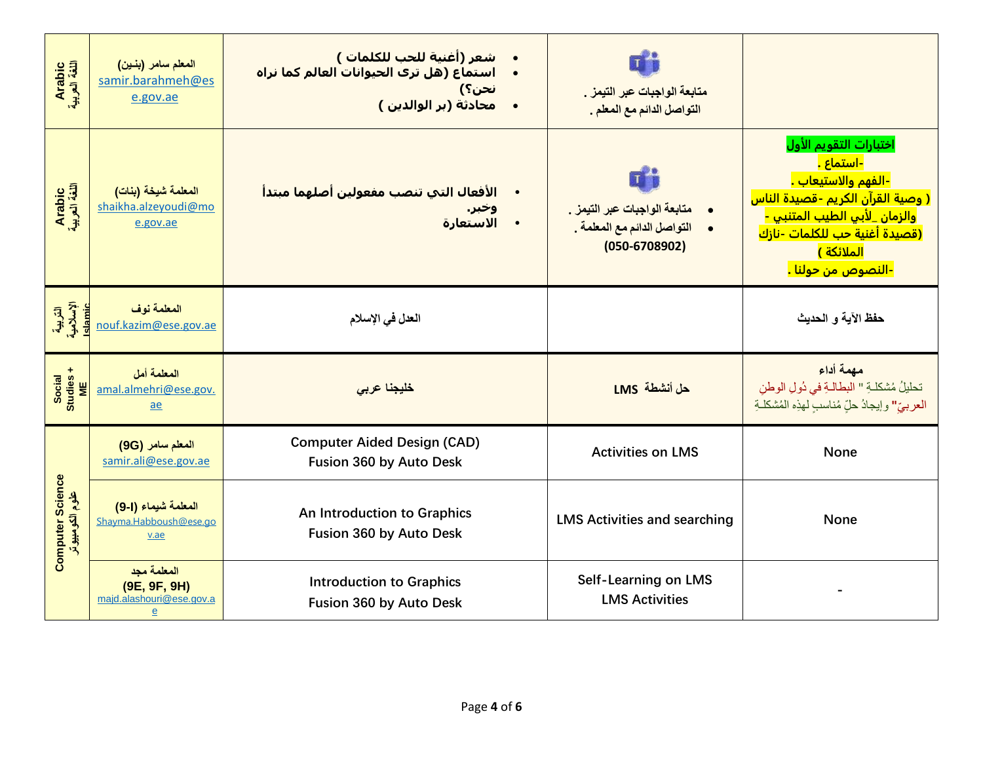| Arabic<br>اللغة العربية                    | المعلم سامر (بنين)<br>samir.barahmeh@es<br>e.gov.ae                     | شعر (أغنية للحب للكلمات )<br>استماع (هل ترې الحيوانات العالم كما نراه<br>نحن؟)<br>محادثة (بر الوالدين )<br>$\bullet$ | متابعة الواجبات عبر التيمز .<br>التواصل الدائم مع المعلم .                                       |                                                                                                                                                                                                                                                                               |
|--------------------------------------------|-------------------------------------------------------------------------|----------------------------------------------------------------------------------------------------------------------|--------------------------------------------------------------------------------------------------|-------------------------------------------------------------------------------------------------------------------------------------------------------------------------------------------------------------------------------------------------------------------------------|
| Arabic<br>اللغة العربية                    | المعلمة شيخة (بنات)<br>shaikha.alzeyoudi@mo<br>e.gov.ae                 | الأفعال التي تنصب مفعولين أصلهما مبتدأ<br>وخبر.<br>الاستعارة                                                         | $\mathbf{T}$<br>متابعة الواجبات عبر التيمز .<br>التواصل الدائم مع المعلمة .<br>$(050 - 6708902)$ | اختبارات التقويم الأول<br><mark>-استماع .</mark><br><mark>-الفهم والاستيعاب .</mark><br><mark>( وصية القرآن الكريم -قصيدة الناس</mark><br>والزمان _لأبي الطيب المتنبي -<br><u>(قصيدة أغنية حب للكلمات -نازك</u><br><mark>الملائكة )</mark><br><mark>-النصوص من حولنا .</mark> |
| التربية<br>الإسلامية<br>Islamic            | المعلمة نوف<br>nouf.kazim@ese.gov.ae                                    | العدل في الإسلام                                                                                                     |                                                                                                  | حفظ الآية و الحديث                                                                                                                                                                                                                                                            |
| Social<br>Studies +<br>ME                  | المعلمة أمل<br>amal.almehri@ese.gov.<br>ae                              | خليجنا عربى                                                                                                          | حل أنشطة LMS                                                                                     | مهمة أداء<br>تحليلُ مُشكلةِ " البطالةِ في دُولِ الوطن<br>العربيّ" وإيجادُ حلّ مُناسبٍ لهذِه المُشكلةِ                                                                                                                                                                         |
| <b>Computer Science</b><br>علوم الكومبيوتر | المعلم سامر (9G)<br>samir.ali@ese.gov.ae                                | <b>Computer Aided Design (CAD)</b><br>Fusion 360 by Auto Desk                                                        | <b>Activities on LMS</b>                                                                         | None                                                                                                                                                                                                                                                                          |
|                                            | المعلمة شيماء (1-9)<br>Shayma.Habboush@ese.go<br>v.ae                   | An Introduction to Graphics<br>Fusion 360 by Auto Desk                                                               | <b>LMS Activities and searching</b>                                                              | None                                                                                                                                                                                                                                                                          |
|                                            | المعلمة مجد<br>(9E, 9F, 9H)<br>majd.alashouri@ese.gov.a<br>$\mathbf{e}$ | <b>Introduction to Graphics</b><br>Fusion 360 by Auto Desk                                                           | <b>Self-Learning on LMS</b><br><b>LMS Activities</b>                                             |                                                                                                                                                                                                                                                                               |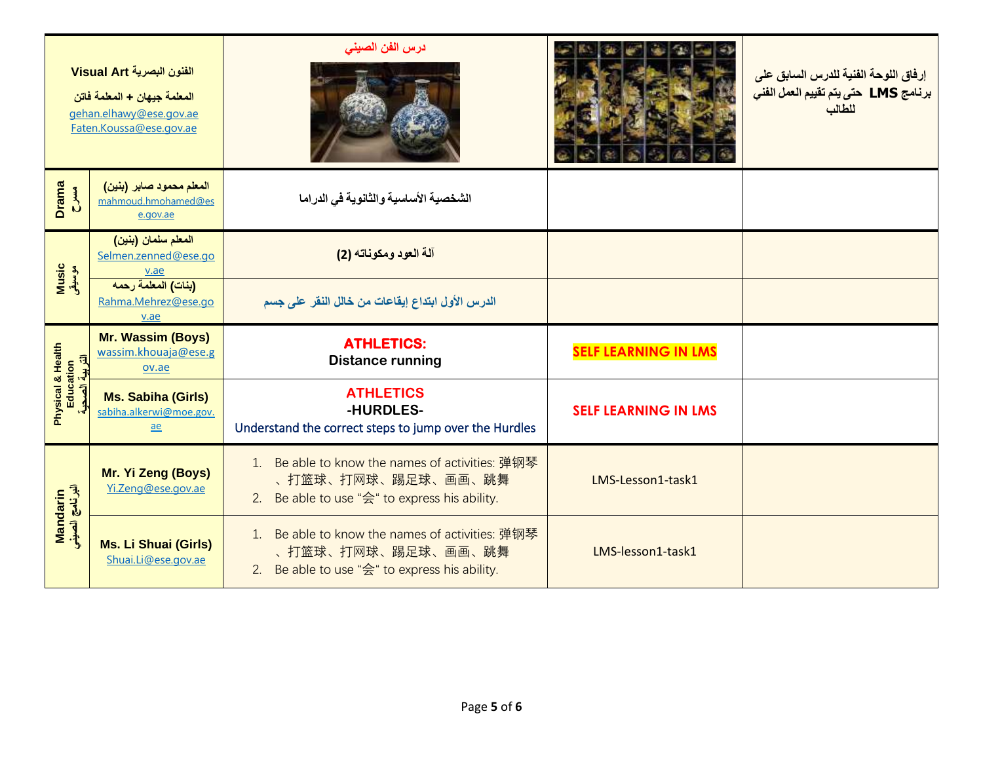| الفنون البصرية Visual Art<br>المعلمة جيهان + المعلمة فاتن<br>gehan.elhawy@ese.gov.ae<br>Faten.Koussa@ese.gov.ae |                                                              | درس الفن الصينى                                                                                                        |                             | إرفاق اللوحة الفنية للدرس السابق على<br>برنامج LMS حتى يتم تقييم العمل الفني<br>للطالب |
|-----------------------------------------------------------------------------------------------------------------|--------------------------------------------------------------|------------------------------------------------------------------------------------------------------------------------|-----------------------------|----------------------------------------------------------------------------------------|
| <b>Drama</b><br>$\sum_{i=1}^{n}$                                                                                | المعلم محمود صابر (بنين)<br>mahmoud.hmohamed@es<br>e.gov.ae  | الشخصية الأساسية والثانوية في الدراما                                                                                  |                             |                                                                                        |
| Music<br>موسیقی                                                                                                 | المعلم سلمان (بنين)<br>Selmen.zenned@ese.go<br>v.ae          | آلة العود ومكوناته (2)                                                                                                 |                             |                                                                                        |
|                                                                                                                 | (بنات) المعلمة رحمه<br>Rahma.Mehrez@ese.go<br>v.ae           | الدرس الأول ابتداع إيقاعات من خالل النقر على جسم                                                                       |                             |                                                                                        |
| Physical & Health<br>Education<br>司                                                                             | <b>Mr. Wassim (Boys)</b><br>wassim.khouaja@ese.g<br>ov.ae    | <b>ATHLETICS:</b><br><b>Distance running</b>                                                                           | <b>SELF LEARNING IN LMS</b> |                                                                                        |
|                                                                                                                 | <b>Ms. Sabiha (Girls)</b><br>sabiha.alkerwi@moe.gov.<br>$ae$ | <b>ATHLETICS</b><br>-HURDLES-<br>Understand the correct steps to jump over the Hurdles                                 | <b>SELF LEARNING IN LMS</b> |                                                                                        |
| Mandarin<br>اليرنامج الصيني                                                                                     | Mr. Yi Zeng (Boys)<br>Yi.Zeng@ese.gov.ae                     | 1. Be able to know the names of activities: 弹钢琴<br>、打篮球、打网球、踢足球、画画、跳舞<br>2. Be able to use "会" to express his ability. | LMS-Lesson1-task1           |                                                                                        |
|                                                                                                                 | <b>Ms. Li Shuai (Girls)</b><br>Shuai.Li@ese.gov.ae           | 1. Be able to know the names of activities: 弹钢琴<br>、打篮球、打网球、踢足球、画画、跳舞<br>2. Be able to use "会" to express his ability. | LMS-lesson1-task1           |                                                                                        |